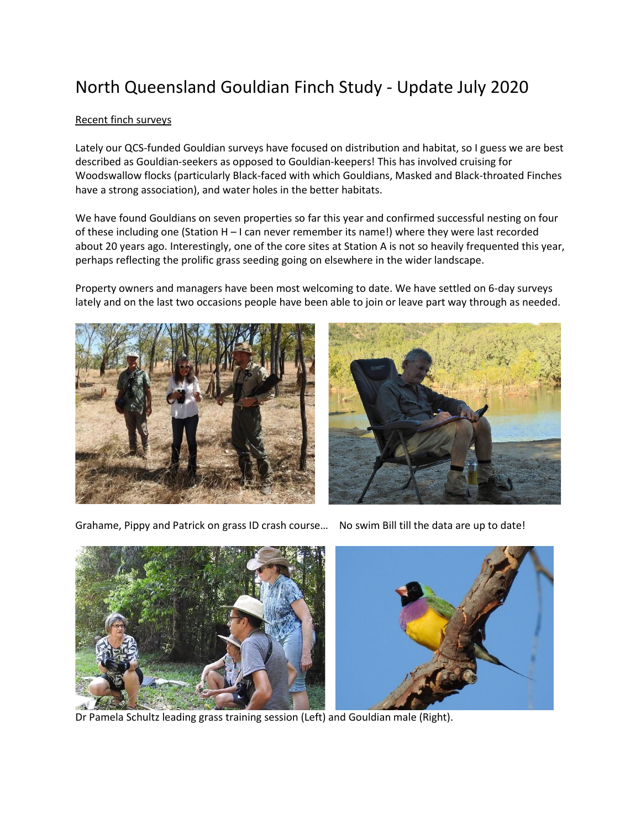# North Queensland Gouldian Finch Study - Update July 2020

## Recent finch surveys

Lately our QCS-funded Gouldian surveys have focused on distribution and habitat, so I guess we are best described as Gouldian-seekers as opposed to Gouldian-keepers! This has involved cruising for Woodswallow flocks (particularly Black-faced with which Gouldians, Masked and Black-throated Finches have a strong association), and water holes in the better habitats.

We have found Gouldians on seven properties so far this year and confirmed successful nesting on four of these including one (Station H – I can never remember its name!) where they were last recorded about 20 years ago. Interestingly, one of the core sites at Station A is not so heavily frequented this year, perhaps reflecting the prolific grass seeding going on elsewhere in the wider landscape.

Property owners and managers have been most welcoming to date. We have settled on 6-day surveys lately and on the last two occasions people have been able to join or leave part way through as needed.





Grahame, Pippy and Patrick on grass ID crash course… No swim Bill till the data are up to date!



Dr Pamela Schultz leading grass training session (Left) and Gouldian male (Right).